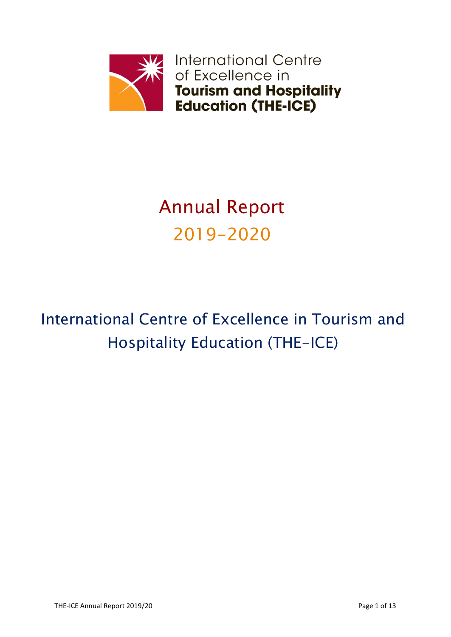

# Annual Report 2019-2020

## International Centre of Excellence in Tourism and Hospitality Education (THE-ICE)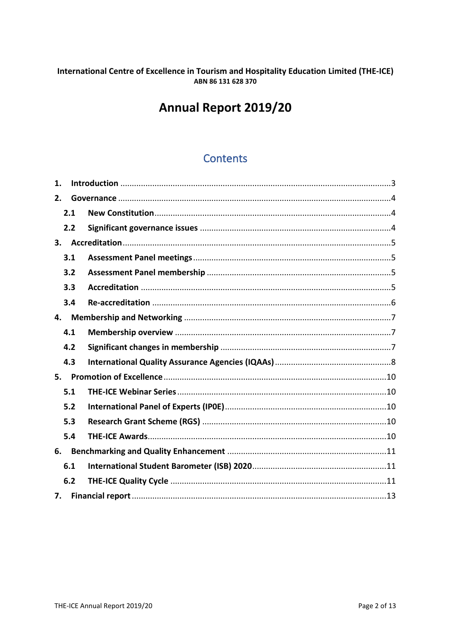#### International Centre of Excellence in Tourism and Hospitality Education Limited (THE-ICE) ABN 86 131 628 370

## Annual Report 2019/20

## Contents

| 1.  |  |  |  |  |
|-----|--|--|--|--|
| 2.  |  |  |  |  |
| 2.1 |  |  |  |  |
| 2.2 |  |  |  |  |
|     |  |  |  |  |
| 3.1 |  |  |  |  |
| 3.2 |  |  |  |  |
| 3.3 |  |  |  |  |
| 3.4 |  |  |  |  |
| 4.  |  |  |  |  |
| 4.1 |  |  |  |  |
| 4.2 |  |  |  |  |
| 4.3 |  |  |  |  |
| 5.  |  |  |  |  |
| 5.1 |  |  |  |  |
| 5.2 |  |  |  |  |
| 5.3 |  |  |  |  |
| 5.4 |  |  |  |  |
| 6.  |  |  |  |  |
| 6.1 |  |  |  |  |
| 6.2 |  |  |  |  |
| 7.  |  |  |  |  |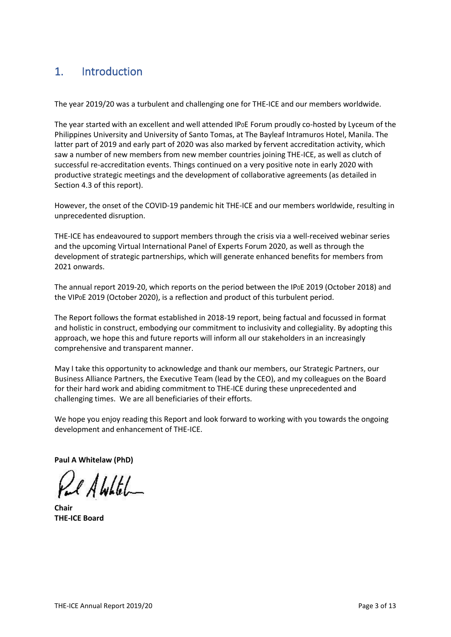## <span id="page-2-0"></span>1. Introduction

The year 2019/20 was a turbulent and challenging one for THE-ICE and our members worldwide.

The year started with an excellent and well attended IP0E Forum proudly co-hosted by Lyceum of the Philippines University and University of Santo Tomas, at The Bayleaf Intramuros Hotel, Manila. The latter part of 2019 and early part of 2020 was also marked by fervent accreditation activity, which saw a number of new members from new member countries joining THE-ICE, as well as clutch of successful re-accreditation events. Things continued on a very positive note in early 2020 with productive strategic meetings and the development of collaborative agreements (as detailed in Section 4.3 of this report).

However, the onset of the COVID-19 pandemic hit THE-ICE and our members worldwide, resulting in unprecedented disruption.

THE-ICE has endeavoured to support members through the crisis via a well-received webinar series and the upcoming Virtual International Panel of Experts Forum 2020, as well as through the development of strategic partnerships, which will generate enhanced benefits for members from 2021 onwards.

The annual report 2019-20, which reports on the period between the IP0E 2019 (October 2018) and the VIP0E 2019 (October 2020), is a reflection and product of this turbulent period.

The Report follows the format established in 2018-19 report, being factual and focussed in format and holistic in construct, embodying our commitment to inclusivity and collegiality. By adopting this approach, we hope this and future reports will inform all our stakeholders in an increasingly comprehensive and transparent manner.

May I take this opportunity to acknowledge and thank our members, our Strategic Partners, our Business Alliance Partners, the Executive Team (lead by the CEO), and my colleagues on the Board for their hard work and abiding commitment to THE-ICE during these unprecedented and challenging times. We are all beneficiaries of their efforts.

We hope you enjoy reading this Report and look forward to working with you towards the ongoing development and enhancement of THE-ICE.

**Paul A Whitelaw (PhD)**

AWLEL

**Chair THE-ICE Board**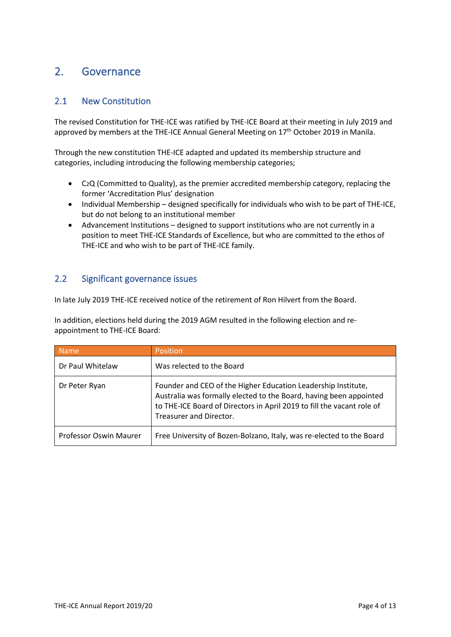### <span id="page-3-0"></span>2. Governance

#### <span id="page-3-1"></span>2.1 New Constitution

The revised Constitution for THE-ICE was ratified by THE-ICE Board at their meeting in July 2019 and approved by members at the THE-ICE Annual General Meeting on 17<sup>th</sup> October 2019 in Manila.

Through the new constitution THE-ICE adapted and updated its membership structure and categories, including introducing the following membership categories;

- C2Q (Committed to Quality), as the premier accredited membership category, replacing the former 'Accreditation Plus' designation
- Individual Membership designed specifically for individuals who wish to be part of THE-ICE, but do not belong to an institutional member
- Advancement Institutions designed to support institutions who are not currently in a position to meet THE-ICE Standards of Excellence, but who are committed to the ethos of THE-ICE and who wish to be part of THE-ICE family.

#### <span id="page-3-2"></span>2.2 Significant governance issues

In late July 2019 THE-ICE received notice of the retirement of Ron Hilvert from the Board.

In addition, elections held during the 2019 AGM resulted in the following election and reappointment to THE-ICE Board:

| <b>Name</b>            | <b>Position</b>                                                                                                                                                                                                                          |
|------------------------|------------------------------------------------------------------------------------------------------------------------------------------------------------------------------------------------------------------------------------------|
| Dr Paul Whitelaw       | Was relected to the Board                                                                                                                                                                                                                |
| Dr Peter Ryan          | Founder and CEO of the Higher Education Leadership Institute,<br>Australia was formally elected to the Board, having been appointed<br>to THE-ICE Board of Directors in April 2019 to fill the vacant role of<br>Treasurer and Director. |
| Professor Oswin Maurer | Free University of Bozen-Bolzano, Italy, was re-elected to the Board                                                                                                                                                                     |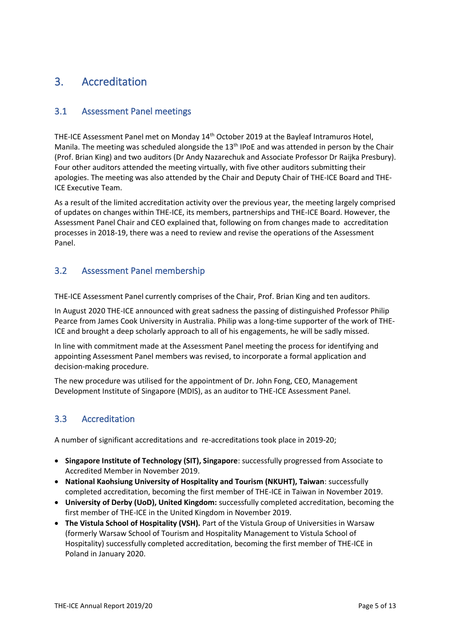## <span id="page-4-0"></span>3. Accreditation

#### <span id="page-4-1"></span>3.1 Assessment Panel meetings

THE-ICE Assessment Panel met on Monday 14<sup>th</sup> October 2019 at the Bayleaf Intramuros Hotel, Manila. The meeting was scheduled alongside the 13<sup>th</sup> IPoE and was attended in person by the Chair (Prof. Brian King) and two auditors (Dr Andy Nazarechuk and Associate Professor Dr Raijka Presbury). Four other auditors attended the meeting virtually, with five other auditors submitting their apologies. The meeting was also attended by the Chair and Deputy Chair of THE-ICE Board and THE-ICE Executive Team.

As a result of the limited accreditation activity over the previous year, the meeting largely comprised of updates on changes within THE-ICE, its members, partnerships and THE-ICE Board. However, the Assessment Panel Chair and CEO explained that, following on from changes made to accreditation processes in 2018-19, there was a need to review and revise the operations of the Assessment Panel.

#### <span id="page-4-2"></span>3.2 Assessment Panel membership

THE-ICE Assessment Panel currently comprises of the Chair, Prof. Brian King and ten auditors.

In August 2020 THE-ICE announced with great sadness the passing of distinguished Professor Philip Pearce from James Cook University in Australia. Philip was a long-time supporter of the work of THE-ICE and brought a deep scholarly approach to all of his engagements, he will be sadly missed.

In line with commitment made at the Assessment Panel meeting the process for identifying and appointing Assessment Panel members was revised, to incorporate a formal application and decision-making procedure.

The new procedure was utilised for the appointment of Dr. John Fong, CEO, Management Development Institute of Singapore (MDIS), as an auditor to THE-ICE Assessment Panel.

#### <span id="page-4-3"></span>3.3 Accreditation

A number of significant accreditations and re-accreditations took place in 2019-20;

- **Singapore Institute of Technology (SIT), Singapore**: successfully progressed from Associate to Accredited Member in November 2019.
- **National Kaohsiung University of Hospitality and Tourism (NKUHT), Taiwan**: successfully completed accreditation, becoming the first member of THE-ICE in Taiwan in November 2019.
- **University of Derby (UoD), United Kingdom:** successfully completed accreditation, becoming the first member of THE-ICE in the United Kingdom in November 2019.
- **The Vistula School of Hospitality (VSH).** Part of the Vistula Group of Universities in Warsaw (formerly Warsaw School of Tourism and Hospitality Management to Vistula School of Hospitality) successfully completed accreditation, becoming the first member of THE-ICE in Poland in January 2020.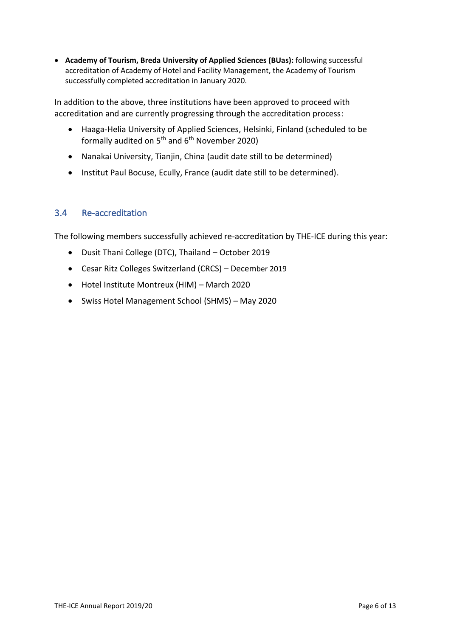• **Academy of Tourism, Breda University of Applied Sciences (BUas):** following successful accreditation of Academy of Hotel and Facility Management, the Academy of Tourism successfully completed accreditation in January 2020.

In addition to the above, three institutions have been approved to proceed with accreditation and are currently progressing through the accreditation process:

- Haaga-Helia University of Applied Sciences, Helsinki, Finland (scheduled to be formally audited on  $5<sup>th</sup>$  and  $6<sup>th</sup>$  November 2020)
- Nanakai University, Tianjin, China (audit date still to be determined)
- Institut Paul Bocuse, Ecully, France (audit date still to be determined).

#### <span id="page-5-0"></span>3.4 Re-accreditation

The following members successfully achieved re-accreditation by THE-ICE during this year:

- Dusit Thani College (DTC), Thailand October 2019
- Cesar Ritz Colleges Switzerland (CRCS) December 2019
- Hotel Institute Montreux (HIM) March 2020
- Swiss Hotel Management School (SHMS) May 2020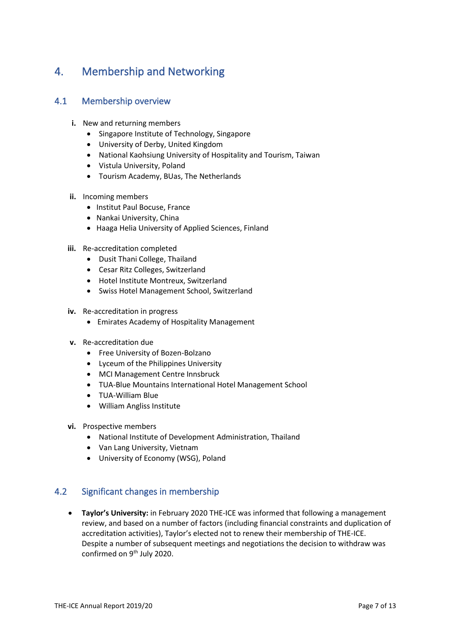## <span id="page-6-0"></span>4. Membership and Networking

#### <span id="page-6-1"></span>4.1 Membership overview

- **i.** New and returning members
	- Singapore Institute of Technology, Singapore
	- University of Derby, United Kingdom
	- National Kaohsiung University of Hospitality and Tourism, Taiwan
	- Vistula University, Poland
	- Tourism Academy, BUas, The Netherlands
- **ii.** Incoming members
	- Institut Paul Bocuse, France
	- Nankai University, China
	- Haaga Helia University of Applied Sciences, Finland
- **iii.** Re-accreditation completed
	- Dusit Thani College, Thailand
	- Cesar Ritz Colleges, Switzerland
	- Hotel Institute Montreux, Switzerland
	- Swiss Hotel Management School, Switzerland
- **iv.** Re-accreditation in progress
	- Emirates Academy of Hospitality Management
- **v.** Re-accreditation due
	- Free University of Bozen-Bolzano
	- Lyceum of the Philippines University
	- MCI Management Centre Innsbruck
	- TUA-Blue Mountains International Hotel Management School
	- TUA-William Blue
	- William Angliss Institute
- **vi.** Prospective members
	- National Institute of Development Administration, Thailand
	- Van Lang University, Vietnam
	- University of Economy (WSG), Poland

#### <span id="page-6-2"></span>4.2 Significant changes in membership

• **Taylor's University:** in February 2020 THE-ICE was informed that following a management review, and based on a number of factors (including financial constraints and duplication of accreditation activities), Taylor's elected not to renew their membership of THE-ICE. Despite a number of subsequent meetings and negotiations the decision to withdraw was confirmed on 9<sup>th</sup> July 2020.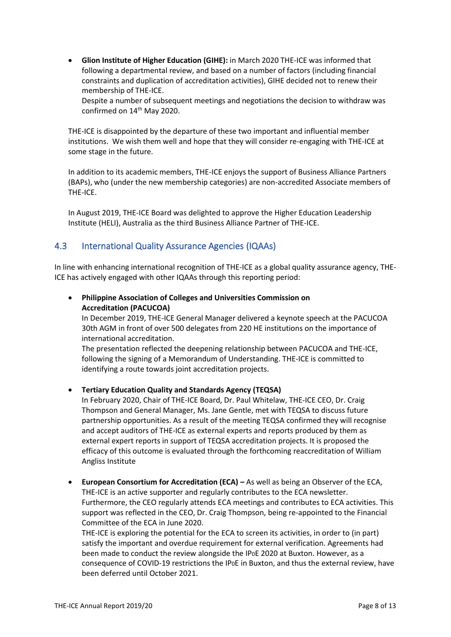• **Glion Institute of Higher Education (GIHE):** in March 2020 THE-ICE was informed that following a departmental review, and based on a number of factors (including financial constraints and duplication of accreditation activities), GIHE decided not to renew their membership of THE-ICE.

Despite a number of subsequent meetings and negotiations the decision to withdraw was confirmed on 14<sup>th</sup> May 2020.

THE-ICE is disappointed by the departure of these two important and influential member institutions. We wish them well and hope that they will consider re-engaging with THE-ICE at some stage in the future.

In addition to its academic members, THE-ICE enjoys the support of Business Alliance Partners (BAPs), who (under the new membership categories) are non-accredited Associate members of THE-ICE.

In August 2019, THE-ICE Board was delighted to approve the Higher Education Leadership Institute (HELI), Australia as the third Business Alliance Partner of THE-ICE.

#### <span id="page-7-0"></span>4.3 International Quality Assurance Agencies (IQAAs)

In line with enhancing international recognition of THE-ICE as a global quality assurance agency, THE-ICE has actively engaged with other IQAAs through this reporting period:

• **Philippine Association of Colleges and Universities Commission on Accreditation (PACUCOA)**

In December 2019, THE-ICE General Manager delivered a keynote speech at the PACUCOA 30th AGM in front of over 500 delegates from 220 HE institutions on the importance of international accreditation.

The presentation reflected the deepening relationship between PACUCOA and THE-ICE, following the signing of a Memorandum of Understanding. THE-ICE is committed to identifying a route towards joint accreditation projects.

#### • **Tertiary Education Quality and Standards Agency (TEQSA)**

In February 2020, Chair of THE-ICE Board, Dr. Paul Whitelaw, THE-ICE CEO, Dr. Craig Thompson and General Manager, Ms. Jane Gentle, met with TEQSA to discuss future partnership opportunities. As a result of the meeting TEQSA confirmed they will recognise and accept auditors of THE-ICE as external experts and reports produced by them as external expert reports in support of TEQSA accreditation projects. It is proposed the efficacy of this outcome is evaluated through the forthcoming reaccreditation of William Angliss Institute

• **European Consortium for Accreditation (ECA) –** As well as being an Observer of the ECA, THE-ICE is an active supporter and regularly contributes to the ECA newsletter. Furthermore, the CEO regularly attends ECA meetings and contributes to ECA activities. This support was reflected in the CEO, Dr. Craig Thompson, being re-appointed to the Financial Committee of the ECA in June 2020.

THE-ICE is exploring the potential for the ECA to screen its activities, in order to (in part) satisfy the important and overdue requirement for external verification. Agreements had been made to conduct the review alongside the IP0E 2020 at Buxton. However, as a consequence of COVID-19 restrictions the IP0E in Buxton, and thus the external review, have been deferred until October 2021.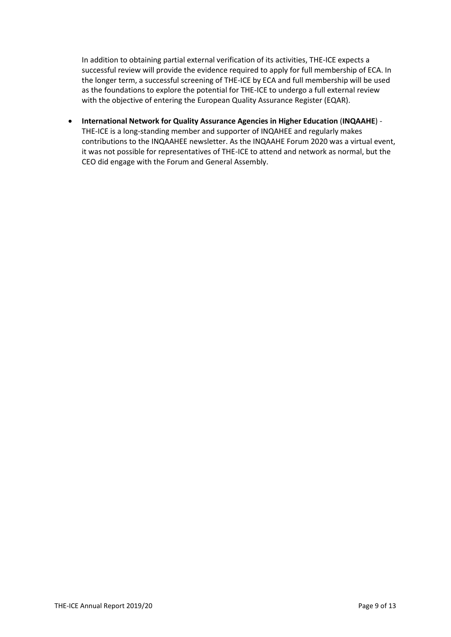In addition to obtaining partial external verification of its activities, THE-ICE expects a successful review will provide the evidence required to apply for full membership of ECA. In the longer term, a successful screening of THE-ICE by ECA and full membership will be used as the foundations to explore the potential for THE-ICE to undergo a full external review with the objective of entering the European Quality Assurance Register (EQAR).

• **International Network for Quality Assurance Agencies in Higher Education** (**INQAAHE**) - THE-ICE is a long-standing member and supporter of INQAHEE and regularly makes contributions to the INQAAHEE newsletter. As the INQAAHE Forum 2020 was a virtual event, it was not possible for representatives of THE-ICE to attend and network as normal, but the CEO did engage with the Forum and General Assembly.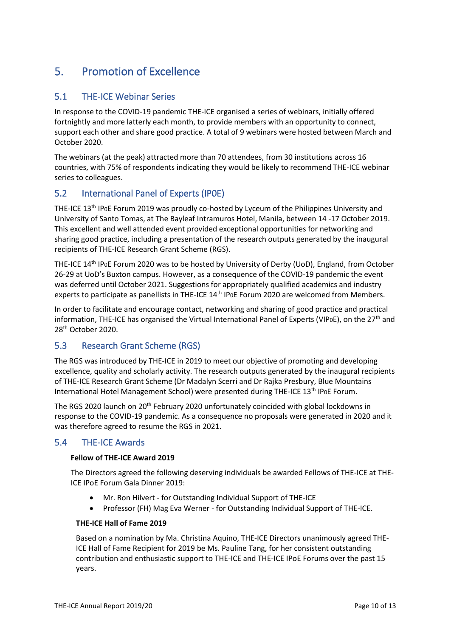## <span id="page-9-0"></span>5. Promotion of Excellence

#### <span id="page-9-1"></span>5.1 THE-ICE Webinar Series

In response to the COVID-19 pandemic THE-ICE organised a series of webinars, initially offered fortnightly and more latterly each month, to provide members with an opportunity to connect, support each other and share good practice. A total of 9 webinars were hosted between March and October 2020.

The webinars (at the peak) attracted more than 70 attendees, from 30 institutions across 16 countries, with 75% of respondents indicating they would be likely to recommend THE-ICE webinar series to colleagues.

#### <span id="page-9-2"></span>5.2 International Panel of Experts (IP0E)

THE-ICE 13<sup>th</sup> IP0E Forum 2019 was proudly co-hosted by Lyceum of the Philippines University and University of Santo Tomas, at The Bayleaf Intramuros Hotel, Manila, between 14 -17 October 2019. This excellent and well attended event provided exceptional opportunities for networking and sharing good practice, including a presentation of the research outputs generated by the inaugural recipients of THE-ICE Research Grant Scheme (RGS).

THE-ICE 14<sup>th</sup> IPoE Forum 2020 was to be hosted by University of Derby (UoD), England, from October 26-29 at UoD's Buxton campus. However, as a consequence of the COVID-19 pandemic the event was deferred until October 2021. Suggestions for appropriately qualified academics and industry experts to participate as panellists in THE-ICE 14<sup>th</sup> IPoE Forum 2020 are welcomed from Members.

In order to facilitate and encourage contact, networking and sharing of good practice and practical information, THE-ICE has organised the Virtual International Panel of Experts (VIPoE), on the 27<sup>th</sup> and 28 th October 2020.

#### <span id="page-9-3"></span>5.3 Research Grant Scheme (RGS)

The RGS was introduced by THE-ICE in 2019 to meet our objective of promoting and developing excellence, quality and scholarly activity. The research outputs generated by the inaugural recipients of THE-ICE Research Grant Scheme (Dr Madalyn Scerri and Dr Rajka Presbury, Blue Mountains International Hotel Management School) were presented during THE-ICE 13<sup>th</sup> IP0E Forum.

The RGS 2020 launch on 20<sup>th</sup> February 2020 unfortunately coincided with global lockdowns in response to the COVID-19 pandemic. As a consequence no proposals were generated in 2020 and it was therefore agreed to resume the RGS in 2021.

#### <span id="page-9-4"></span>5.4 THE-ICE Awards

#### **Fellow of THE-ICE Award 2019**

The Directors agreed the following deserving individuals be awarded Fellows of THE-ICE at THE-ICE IPoE Forum Gala Dinner 2019:

- Mr. Ron Hilvert for Outstanding Individual Support of THE-ICE
- Professor (FH) Mag Eva Werner for Outstanding Individual Support of THE-ICE.

#### **THE-ICE Hall of Fame 2019**

Based on a nomination by Ma. Christina Aquino, THE-ICE Directors unanimously agreed THE-ICE Hall of Fame Recipient for 2019 be Ms. Pauline Tang, for her consistent outstanding contribution and enthusiastic support to THE-ICE and THE-ICE IPoE Forums over the past 15 years.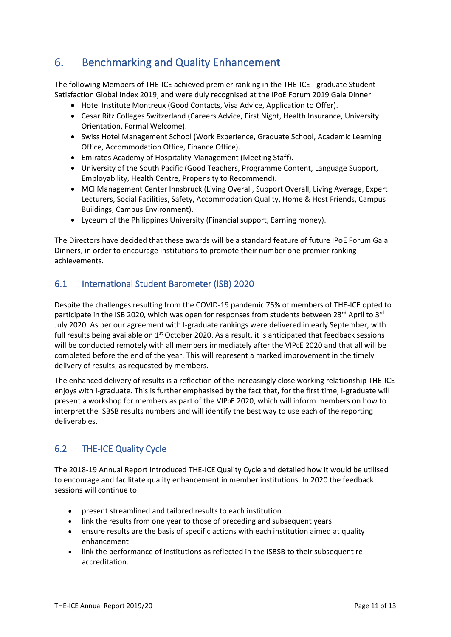## <span id="page-10-0"></span>6. Benchmarking and Quality Enhancement

The following Members of THE-ICE achieved premier ranking in the THE-ICE i-graduate Student Satisfaction Global Index 2019, and were duly recognised at the IPoE Forum 2019 Gala Dinner:

- Hotel Institute Montreux (Good Contacts, Visa Advice, Application to Offer).
- Cesar Ritz Colleges Switzerland (Careers Advice, First Night, Health Insurance, University Orientation, Formal Welcome).
- Swiss Hotel Management School (Work Experience, Graduate School, Academic Learning Office, Accommodation Office, Finance Office).
- Emirates Academy of Hospitality Management (Meeting Staff).
- University of the South Pacific (Good Teachers, Programme Content, Language Support, Employability, Health Centre, Propensity to Recommend).
- MCI Management Center Innsbruck (Living Overall, Support Overall, Living Average, Expert Lecturers, Social Facilities, Safety, Accommodation Quality, Home & Host Friends, Campus Buildings, Campus Environment).
- Lyceum of the Philippines University (Financial support, Earning money).

The Directors have decided that these awards will be a standard feature of future IPoE Forum Gala Dinners, in order to encourage institutions to promote their number one premier ranking achievements.

#### <span id="page-10-1"></span>6.1 International Student Barometer (ISB) 2020

Despite the challenges resulting from the COVID-19 pandemic 75% of members of THE-ICE opted to participate in the ISB 2020, which was open for responses from students between 23<sup>rd</sup> April to 3<sup>rd</sup> July 2020. As per our agreement with I-graduate rankings were delivered in early September, with full results being available on 1<sup>st</sup> October 2020. As a result, it is anticipated that feedback sessions will be conducted remotely with all members immediately after the VIP0E 2020 and that all will be completed before the end of the year. This will represent a marked improvement in the timely delivery of results, as requested by members.

The enhanced delivery of results is a reflection of the increasingly close working relationship THE-ICE enjoys with I-graduate. This is further emphasised by the fact that, for the first time, I-graduate will present a workshop for members as part of the VIP0E 2020, which will inform members on how to interpret the ISBSB results numbers and will identify the best way to use each of the reporting deliverables.

#### <span id="page-10-2"></span>6.2 THE-ICE Quality Cycle

The 2018-19 Annual Report introduced THE-ICE Quality Cycle and detailed how it would be utilised to encourage and facilitate quality enhancement in member institutions. In 2020 the feedback sessions will continue to:

- present streamlined and tailored results to each institution
- link the results from one year to those of preceding and subsequent years
- ensure results are the basis of specific actions with each institution aimed at quality enhancement
- link the performance of institutions as reflected in the ISBSB to their subsequent reaccreditation.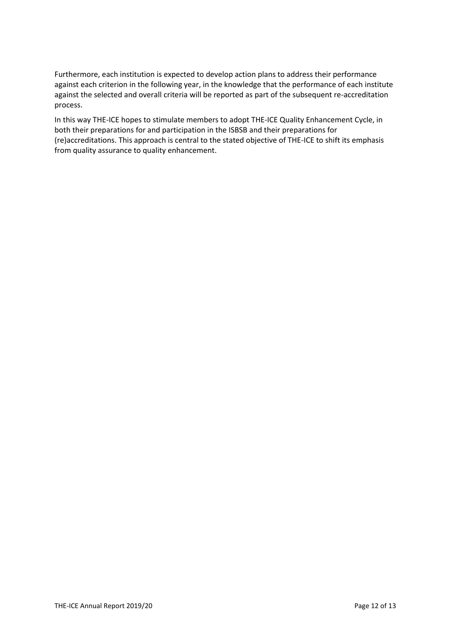Furthermore, each institution is expected to develop action plans to address their performance against each criterion in the following year, in the knowledge that the performance of each institute against the selected and overall criteria will be reported as part of the subsequent re-accreditation process.

In this way THE-ICE hopes to stimulate members to adopt THE-ICE Quality Enhancement Cycle, in both their preparations for and participation in the ISBSB and their preparations for (re)accreditations. This approach is central to the stated objective of THE-ICE to shift its emphasis from quality assurance to quality enhancement.